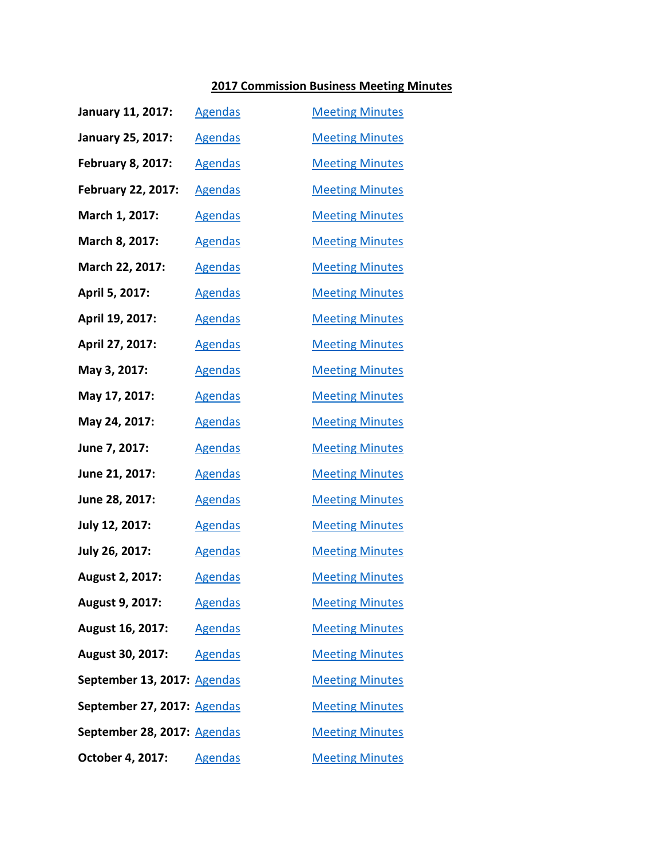## **2017 Commission Business Meeting Minutes**

| <b>January 11, 2017:</b>    | <b>Agendas</b> | <b>Meeting Minutes</b> |
|-----------------------------|----------------|------------------------|
| <b>January 25, 2017:</b>    | <b>Agendas</b> | <b>Meeting Minutes</b> |
| <b>February 8, 2017:</b>    | <b>Agendas</b> | <b>Meeting Minutes</b> |
| February 22, 2017:          | <b>Agendas</b> | <b>Meeting Minutes</b> |
| March 1, 2017:              | <b>Agendas</b> | <b>Meeting Minutes</b> |
| March 8, 2017:              | <b>Agendas</b> | <b>Meeting Minutes</b> |
| March 22, 2017:             | <b>Agendas</b> | <b>Meeting Minutes</b> |
| April 5, 2017:              | <b>Agendas</b> | <b>Meeting Minutes</b> |
| April 19, 2017:             | <b>Agendas</b> | <b>Meeting Minutes</b> |
| April 27, 2017:             | <b>Agendas</b> | <b>Meeting Minutes</b> |
| May 3, 2017:                | <b>Agendas</b> | <b>Meeting Minutes</b> |
| May 17, 2017:               | <b>Agendas</b> | <b>Meeting Minutes</b> |
| May 24, 2017:               | <b>Agendas</b> | <b>Meeting Minutes</b> |
| June 7, 2017:               | <b>Agendas</b> | <b>Meeting Minutes</b> |
| June 21, 2017:              | <b>Agendas</b> | <b>Meeting Minutes</b> |
| June 28, 2017:              | <b>Agendas</b> | <b>Meeting Minutes</b> |
| July 12, 2017:              | <b>Agendas</b> | <b>Meeting Minutes</b> |
| July 26, 2017:              | <b>Agendas</b> | <b>Meeting Minutes</b> |
| August 2, 2017:             | <b>Agendas</b> | <b>Meeting Minutes</b> |
| August 9, 2017:             | <b>Agendas</b> | <b>Meeting Minutes</b> |
| August 16, 2017:            | <b>Agendas</b> | <b>Meeting Minutes</b> |
| <b>August 30, 2017:</b>     | <b>Agendas</b> | <b>Meeting Minutes</b> |
| September 13, 2017: Agendas |                | <b>Meeting Minutes</b> |
| September 27, 2017: Agendas |                | <b>Meeting Minutes</b> |
| September 28, 2017: Agendas |                | <b>Meeting Minutes</b> |
| October 4, 2017:            | <b>Agendas</b> | <b>Meeting Minutes</b> |